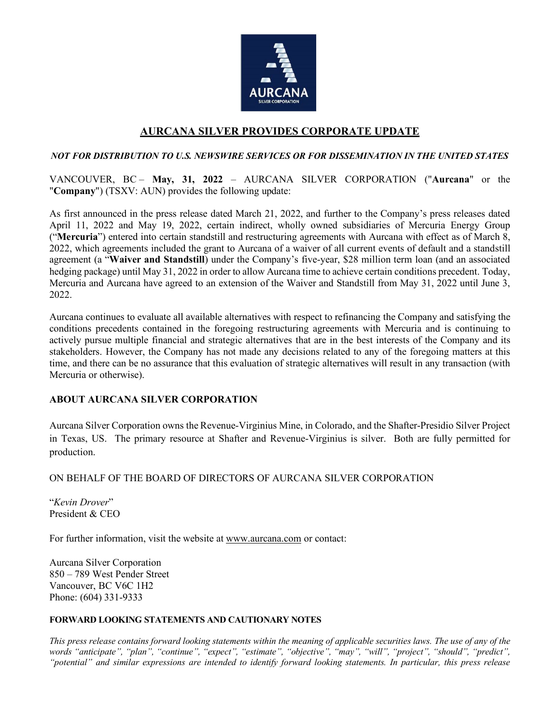

# **AURCANA SILVER PROVIDES CORPORATE UPDATE**

### *NOT FOR DISTRIBUTION TO U.S. NEWSWIRE SERVICES OR FOR DISSEMINATION IN THE UNITED STATES*

VANCOUVER, BC – **May, 31, 2022** – AURCANA SILVER CORPORATION ("**Aurcana**" or the "**Company**") (TSXV: AUN) provides the following update:

As first announced in the press release dated March 21, 2022, and further to the Company's press releases dated April 11, 2022 and May 19, 2022, certain indirect, wholly owned subsidiaries of Mercuria Energy Group ("**Mercuria**") entered into certain standstill and restructuring agreements with Aurcana with effect as of March 8, 2022, which agreements included the grant to Aurcana of a waiver of all current events of default and a standstill agreement (a "**Waiver and Standstill**) under the Company's five-year, \$28 million term loan (and an associated hedging package) until May 31, 2022 in order to allow Aurcana time to achieve certain conditions precedent. Today, Mercuria and Aurcana have agreed to an extension of the Waiver and Standstill from May 31, 2022 until June 3, 2022.

Aurcana continues to evaluate all available alternatives with respect to refinancing the Company and satisfying the conditions precedents contained in the foregoing restructuring agreements with Mercuria and is continuing to actively pursue multiple financial and strategic alternatives that are in the best interests of the Company and its stakeholders. However, the Company has not made any decisions related to any of the foregoing matters at this time, and there can be no assurance that this evaluation of strategic alternatives will result in any transaction (with Mercuria or otherwise).

### **ABOUT AURCANA SILVER CORPORATION**

Aurcana Silver Corporation owns the Revenue-Virginius Mine, in Colorado, and the Shafter-Presidio Silver Project in Texas, US. The primary resource at Shafter and Revenue-Virginius is silver. Both are fully permitted for production.

## ON BEHALF OF THE BOARD OF DIRECTORS OF AURCANA SILVER CORPORATION

"*Kevin Drover*" President & CEO

For further information, visit the website at [www.aurcana.com](http://www.aurcana.com/) or contact:

Aurcana Silver Corporation 850 – 789 West Pender Street Vancouver, BC V6C 1H2 Phone: (604) 331-9333

### **FORWARD LOOKING STATEMENTS AND CAUTIONARY NOTES**

*This press release contains forward looking statements within the meaning of applicable securities laws. The use of any of the words "anticipate", "plan", "continue", "expect", "estimate", "objective", "may", "will", "project", "should", "predict", "potential" and similar expressions are intended to identify forward looking statements. In particular, this press release*